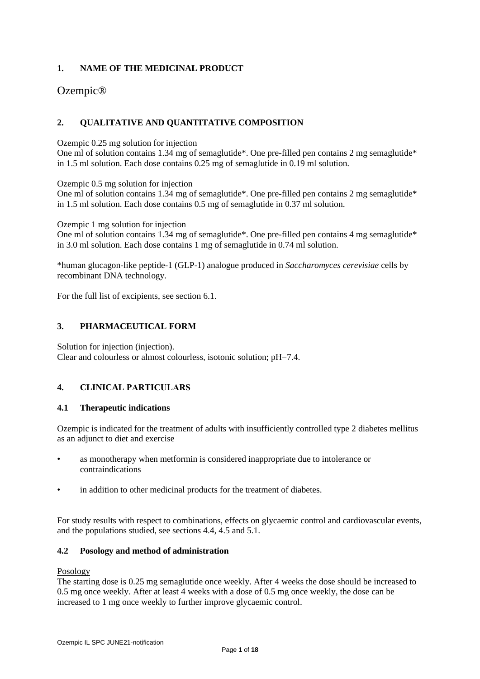# **1. NAME OF THE MEDICINAL PRODUCT**

# Ozempic®

# **2. QUALITATIVE AND QUANTITATIVE COMPOSITION**

Ozempic 0.25 mg solution for injection

One ml of solution contains 1.34 mg of semaglutide\*. One pre-filled pen contains 2 mg semaglutide\* in 1.5 ml solution. Each dose contains 0.25 mg of semaglutide in 0.19 ml solution.

Ozempic 0.5 mg solution for injection

One ml of solution contains 1.34 mg of semaglutide\*. One pre-filled pen contains 2 mg semaglutide\* in 1.5 ml solution. Each dose contains 0.5 mg of semaglutide in 0.37 ml solution.

Ozempic 1 mg solution for injection

One ml of solution contains 1.34 mg of semaglutide\*. One pre-filled pen contains 4 mg semaglutide $*$ in 3.0 ml solution. Each dose contains 1 mg of semaglutide in 0.74 ml solution.

\*human glucagon-like peptide-1 (GLP-1) analogue produced in *Saccharomyces cerevisiae* cells by recombinant DNA technology*.*

For the full list of excipients, see section 6.1.

# **3. PHARMACEUTICAL FORM**

Solution for injection (injection). Clear and colourless or almost colourless, isotonic solution; pH=7.4.

# **4. CLINICAL PARTICULARS**

# **4.1 Therapeutic indications**

Ozempic is indicated for the treatment of adults with insufficiently controlled type 2 diabetes mellitus as an adjunct to diet and exercise

- as monotherapy when metformin is considered inappropriate due to intolerance or contraindications
- in addition to other medicinal products for the treatment of diabetes.

For study results with respect to combinations, effects on glycaemic control and cardiovascular events, and the populations studied, see sections 4.4, 4.5 and 5.1.

# **4.2 Posology and method of administration**

### Posology

The starting dose is 0.25 mg semaglutide once weekly. After 4 weeks the dose should be increased to 0.5 mg once weekly. After at least 4 weeks with a dose of 0.5 mg once weekly, the dose can be increased to 1 mg once weekly to further improve glycaemic control.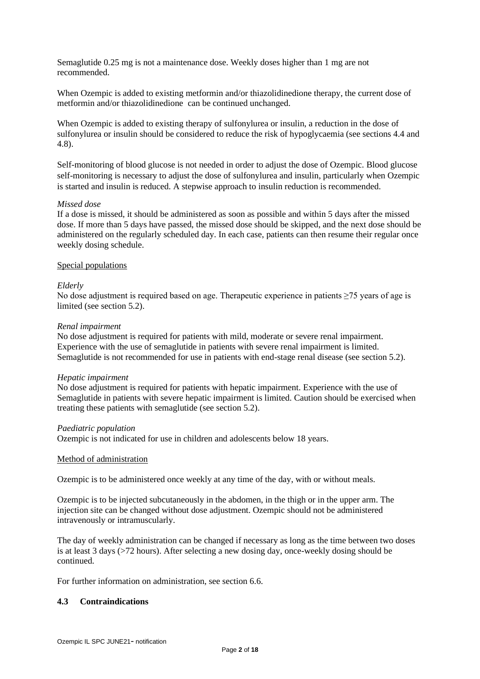Semaglutide 0.25 mg is not a maintenance dose. Weekly doses higher than 1 mg are not recommended.

When Ozempic is added to existing metformin and/or thiazolidinedione therapy, the current dose of metformin and/or thiazolidinedione can be continued unchanged.

When Ozempic is added to existing therapy of sulfonylurea or insulin, a reduction in the dose of sulfonylurea or insulin should be considered to reduce the risk of hypoglycaemia (see sections 4.4 and 4.8).

Self-monitoring of blood glucose is not needed in order to adjust the dose of Ozempic. Blood glucose self-monitoring is necessary to adjust the dose of sulfonylurea and insulin, particularly when Ozempic is started and insulin is reduced. A stepwise approach to insulin reduction is recommended.

### *Missed dose*

If a dose is missed, it should be administered as soon as possible and within 5 days after the missed dose. If more than 5 days have passed, the missed dose should be skipped, and the next dose should be administered on the regularly scheduled day. In each case, patients can then resume their regular once weekly dosing schedule.

### Special populations

### *Elderly*

No dose adjustment is required based on age. Therapeutic experience in patients ≥75 years of age is limited (see section 5.2).

### *Renal impairment*

No dose adjustment is required for patients with mild, moderate or severe renal impairment. Experience with the use of semaglutide in patients with severe renal impairment is limited. Semaglutide is not recommended for use in patients with end-stage renal disease (see section 5.2).

#### *Hepatic impairment*

No dose adjustment is required for patients with hepatic impairment. Experience with the use of Semaglutide in patients with severe hepatic impairment is limited. Caution should be exercised when treating these patients with semaglutide (see section 5.2).

#### *Paediatric population*

Ozempic is not indicated for use in children and adolescents below 18 years.

#### Method of administration

Ozempic is to be administered once weekly at any time of the day, with or without meals.

Ozempic is to be injected subcutaneously in the abdomen, in the thigh or in the upper arm. The injection site can be changed without dose adjustment. Ozempic should not be administered intravenously or intramuscularly.

The day of weekly administration can be changed if necessary as long as the time between two doses is at least 3 days (>72 hours). After selecting a new dosing day, once-weekly dosing should be continued.

For further information on administration, see section 6.6.

# **4.3 Contraindications**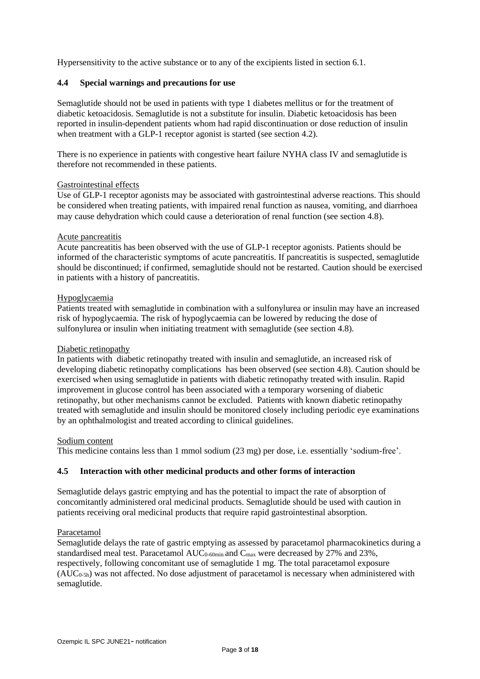Hypersensitivity to the active substance or to any of the excipients listed in section 6.1.

# **4.4 Special warnings and precautions for use**

Semaglutide should not be used in patients with type 1 diabetes mellitus or for the treatment of diabetic ketoacidosis. Semaglutide is not a substitute for insulin. Diabetic ketoacidosis has been reported in insulin-dependent patients whom had rapid discontinuation or dose reduction of insulin when treatment with a GLP-1 receptor agonist is started (see section 4.2).

There is no experience in patients with congestive heart failure NYHA class IV and semaglutide is therefore not recommended in these patients.

#### Gastrointestinal effects

Use of GLP-1 receptor agonists may be associated with gastrointestinal adverse reactions. This should be considered when treating patients, with impaired renal function as nausea, vomiting, and diarrhoea may cause dehydration which could cause a deterioration of renal function (see section 4.8).

### Acute pancreatitis

Acute pancreatitis has been observed with the use of GLP-1 receptor agonists. Patients should be informed of the characteristic symptoms of acute pancreatitis. If pancreatitis is suspected, semaglutide should be discontinued; if confirmed, semaglutide should not be restarted. Caution should be exercised in patients with a history of pancreatitis.

### Hypoglycaemia

Patients treated with semaglutide in combination with a sulfonylurea or insulin may have an increased risk of hypoglycaemia. The risk of hypoglycaemia can be lowered by reducing the dose of sulfonylurea or insulin when initiating treatment with semaglutide (see section 4.8).

### Diabetic retinopathy

In patients with diabetic retinopathy treated with insulin and semaglutide, an increased risk of developing diabetic retinopathy complications has been observed (see section 4.8). Caution should be exercised when using semaglutide in patients with diabetic retinopathy treated with insulin. Rapid improvement in glucose control has been associated with a temporary worsening of diabetic retinopathy, but other mechanisms cannot be excluded. Patients with known diabetic retinopathy treated with semaglutide and insulin should be monitored closely including periodic eye examinations by an ophthalmologist and treated according to clinical guidelines.

# Sodium content

This medicine contains less than 1 mmol sodium (23 mg) per dose, i.e. essentially 'sodium-free'.

# **4.5 Interaction with other medicinal products and other forms of interaction**

Semaglutide delays gastric emptying and has the potential to impact the rate of absorption of concomitantly administered oral medicinal products. Semaglutide should be used with caution in patients receiving oral medicinal products that require rapid gastrointestinal absorption.

#### Paracetamol

Semaglutide delays the rate of gastric emptying as assessed by paracetamol pharmacokinetics during a standardised meal test. Paracetamol  $AUC_{0.60min}$  and  $C_{max}$  were decreased by 27% and 23%, respectively, following concomitant use of semaglutide 1 mg. The total paracetamol exposure  $(AUC_{0.5h})$  was not affected. No dose adjustment of paracetamol is necessary when administered with semaglutide.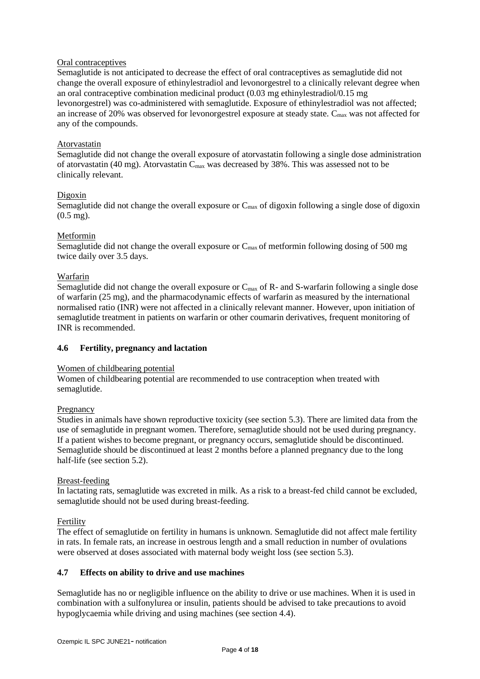# Oral contraceptives

Semaglutide is not anticipated to decrease the effect of oral contraceptives as semaglutide did not change the overall exposure of ethinylestradiol and levonorgestrel to a clinically relevant degree when an oral contraceptive combination medicinal product (0.03 mg ethinylestradiol/0.15 mg levonorgestrel) was co-administered with semaglutide. Exposure of ethinylestradiol was not affected; an increase of 20% was observed for levonorgestrel exposure at steady state.  $C_{\text{max}}$  was not affected for any of the compounds.

# Atorvastatin

Semaglutide did not change the overall exposure of atorvastatin following a single dose administration of atorvastatin (40 mg). Atorvastatin  $C_{\text{max}}$  was decreased by 38%. This was assessed not to be clinically relevant.

# Digoxin

Semaglutide did not change the overall exposure or  $C_{\text{max}}$  of digoxin following a single dose of digoxin (0.5 mg).

# Metformin

Semaglutide did not change the overall exposure or  $C_{\text{max}}$  of metformin following dosing of 500 mg twice daily over 3.5 days.

# Warfarin

Semaglutide did not change the overall exposure or  $C_{\text{max}}$  of R- and S-warfarin following a single dose of warfarin (25 mg), and the pharmacodynamic effects of warfarin as measured by the international normalised ratio (INR) were not affected in a clinically relevant manner. However, upon initiation of semaglutide treatment in patients on warfarin or other coumarin derivatives, frequent monitoring of INR is recommended.

# **4.6 Fertility, pregnancy and lactation**

# Women of childbearing potential

Women of childbearing potential are recommended to use contraception when treated with semaglutide.

# Pregnancy

Studies in animals have shown reproductive toxicity (see section 5.3). There are limited data from the use of semaglutide in pregnant women. Therefore, semaglutide should not be used during pregnancy. If a patient wishes to become pregnant, or pregnancy occurs, semaglutide should be discontinued. Semaglutide should be discontinued at least 2 months before a planned pregnancy due to the long half-life (see section 5.2).

# Breast-feeding

In lactating rats, semaglutide was excreted in milk. As a risk to a breast-fed child cannot be excluded, semaglutide should not be used during breast-feeding.

# Fertility

The effect of semaglutide on fertility in humans is unknown. Semaglutide did not affect male fertility in rats. In female rats, an increase in oestrous length and a small reduction in number of ovulations were observed at doses associated with maternal body weight loss (see section 5.3).

# **4.7 Effects on ability to drive and use machines**

Semaglutide has no or negligible influence on the ability to drive or use machines. When it is used in combination with a sulfonylurea or insulin, patients should be advised to take precautions to avoid hypoglycaemia while driving and using machines (see section 4.4).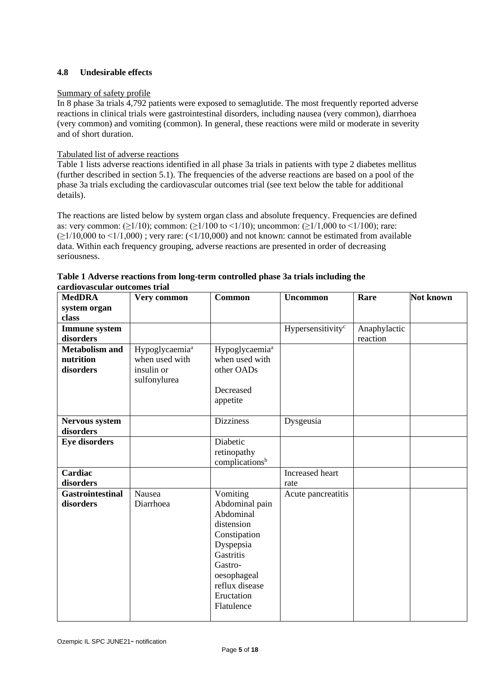# **4.8 Undesirable effects**

# Summary of safety profile

In 8 phase 3a trials 4,792 patients were exposed to semaglutide. The most frequently reported adverse reactions in clinical trials were gastrointestinal disorders, including nausea (very common), diarrhoea (very common) and vomiting (common). In general, these reactions were mild or moderate in severity and of short duration.

### Tabulated list of adverse reactions

Table 1 lists adverse reactions identified in all phase 3a trials in patients with type 2 diabetes mellitus (further described in section 5.1). The frequencies of the adverse reactions are based on a pool of the phase 3a trials excluding the cardiovascular outcomes trial (see text below the table for additional details).

The reactions are listed below by system organ class and absolute frequency. Frequencies are defined as: very common:  $(\geq 1/10)$ ; common:  $(\geq 1/100$  to  $\leq 1/10)$ ; uncommon:  $(\geq 1/1,000$  to  $\leq 1/100)$ ; rare:  $(\geq 1/10,000$  to  $\leq 1/1,000)$ ; very rare:  $(\leq 1/10,000)$  and not known: cannot be estimated from available data. Within each frequency grouping, adverse reactions are presented in order of decreasing seriousness.

| <b>MedDRA</b><br>system organ                   | Very common                                                                | <b>Common</b>                                                                                                                                                           | <b>Uncommon</b>               | Rare                     | Not known |
|-------------------------------------------------|----------------------------------------------------------------------------|-------------------------------------------------------------------------------------------------------------------------------------------------------------------------|-------------------------------|--------------------------|-----------|
| class                                           |                                                                            |                                                                                                                                                                         |                               |                          |           |
| <b>Immune</b> system<br>disorders               |                                                                            |                                                                                                                                                                         | Hypersensitivity <sup>c</sup> | Anaphylactic<br>reaction |           |
| <b>Metabolism and</b><br>nutrition<br>disorders | Hypoglycaemia <sup>a</sup><br>when used with<br>insulin or<br>sulfonylurea | Hypoglycaemia <sup>a</sup><br>when used with<br>other OADs<br>Decreased<br>appetite                                                                                     |                               |                          |           |
| <b>Nervous system</b><br>disorders              |                                                                            | <b>Dizziness</b>                                                                                                                                                        | Dysgeusia                     |                          |           |
| <b>Eye disorders</b>                            |                                                                            | Diabetic<br>retinopathy<br>complications <sup>b</sup>                                                                                                                   |                               |                          |           |
| Cardiac<br>disorders                            |                                                                            |                                                                                                                                                                         | Increased heart<br>rate       |                          |           |
| <b>Gastrointestinal</b><br>disorders            | Nausea<br>Diarrhoea                                                        | Vomiting<br>Abdominal pain<br>Abdominal<br>distension<br>Constipation<br>Dyspepsia<br>Gastritis<br>Gastro-<br>oesophageal<br>reflux disease<br>Eructation<br>Flatulence | Acute pancreatitis            |                          |           |

| Table 1 Adverse reactions from long-term controlled phase 3a trials including the |  |
|-----------------------------------------------------------------------------------|--|
| cardiovascular outcomes trial                                                     |  |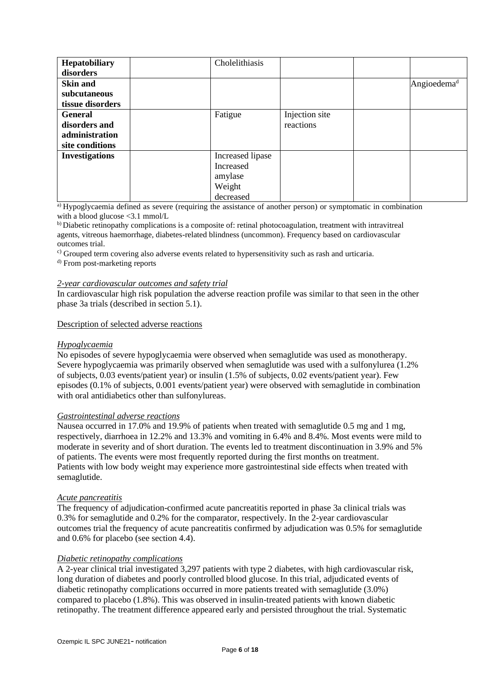| Hepatobiliary         | Cholelithiasis   |                |                         |
|-----------------------|------------------|----------------|-------------------------|
| disorders             |                  |                |                         |
| <b>Skin and</b>       |                  |                | Angioedema <sup>d</sup> |
| subcutaneous          |                  |                |                         |
| tissue disorders      |                  |                |                         |
| <b>General</b>        | Fatigue          | Injection site |                         |
| disorders and         |                  | reactions      |                         |
| administration        |                  |                |                         |
| site conditions       |                  |                |                         |
| <b>Investigations</b> | Increased lipase |                |                         |
|                       | Increased        |                |                         |
|                       | amylase          |                |                         |
|                       | Weight           |                |                         |
|                       | decreased        |                |                         |

a) Hypoglycaemia defined as severe (requiring the assistance of another person) or symptomatic in combination with a blood glucose <3.1 mmol/L

b) Diabetic retinopathy complications is a composite of: retinal photocoagulation, treatment with intravitreal agents, vitreous haemorrhage, diabetes-related blindness (uncommon). Frequency based on cardiovascular outcomes trial.

 $\degree$ ) Grouped term covering also adverse events related to hypersensitivity such as rash and urticaria.

d) From post-marketing reports

# *2-year cardiovascular outcomes and safety trial*

In cardiovascular high risk population the adverse reaction profile was similar to that seen in the other phase 3a trials (described in section 5.1).

# Description of selected adverse reactions

#### *Hypoglycaemia*

No episodes of severe hypoglycaemia were observed when semaglutide was used as monotherapy. Severe hypoglycaemia was primarily observed when semaglutide was used with a sulfonylurea (1.2% of subjects, 0.03 events/patient year) or insulin (1.5% of subjects, 0.02 events/patient year). Few episodes (0.1% of subjects, 0.001 events/patient year) were observed with semaglutide in combination with oral antidiabetics other than sulfonylureas.

#### *Gastrointestinal adverse reactions*

Nausea occurred in 17.0% and 19.9% of patients when treated with semaglutide 0.5 mg and 1 mg, respectively, diarrhoea in 12.2% and 13.3% and vomiting in 6.4% and 8.4%. Most events were mild to moderate in severity and of short duration. The events led to treatment discontinuation in 3.9% and 5% of patients. The events were most frequently reported during the first months on treatment. Patients with low body weight may experience more gastrointestinal side effects when treated with semaglutide.

#### *Acute pancreatitis*

The frequency of adjudication-confirmed acute pancreatitis reported in phase 3a clinical trials was 0.3% for semaglutide and 0.2% for the comparator, respectively. In the 2-year cardiovascular outcomes trial the frequency of acute pancreatitis confirmed by adjudication was 0.5% for semaglutide and 0.6% for placebo (see section 4.4).

#### *Diabetic retinopathy complications*

A 2-year clinical trial investigated 3,297 patients with type 2 diabetes, with high cardiovascular risk, long duration of diabetes and poorly controlled blood glucose. In this trial, adjudicated events of diabetic retinopathy complications occurred in more patients treated with semaglutide (3.0%) compared to placebo (1.8%). This was observed in insulin-treated patients with known diabetic retinopathy. The treatment difference appeared early and persisted throughout the trial. Systematic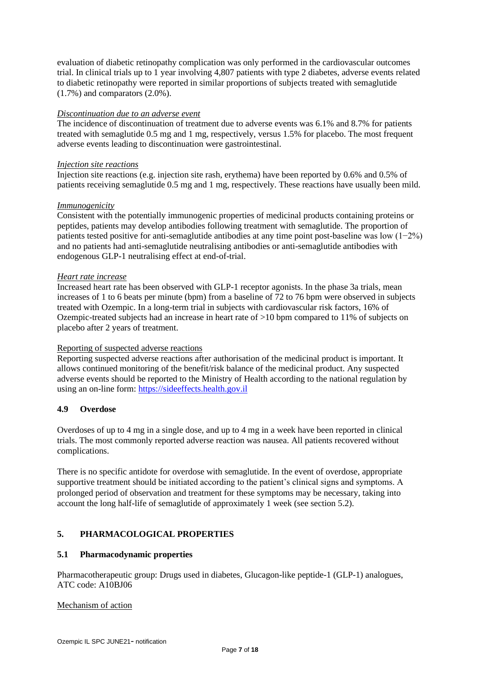evaluation of diabetic retinopathy complication was only performed in the cardiovascular outcomes trial. In clinical trials up to 1 year involving 4,807 patients with type 2 diabetes, adverse events related to diabetic retinopathy were reported in similar proportions of subjects treated with semaglutide (1.7%) and comparators (2.0%).

# *Discontinuation due to an adverse event*

The incidence of discontinuation of treatment due to adverse events was 6.1% and 8.7% for patients treated with semaglutide 0.5 mg and 1 mg, respectively, versus 1.5% for placebo. The most frequent adverse events leading to discontinuation were gastrointestinal.

### *Injection site reactions*

Injection site reactions (e.g. injection site rash, erythema) have been reported by 0.6% and 0.5% of patients receiving semaglutide 0.5 mg and 1 mg, respectively. These reactions have usually been mild.

### *Immunogenicity*

Consistent with the potentially immunogenic properties of medicinal products containing proteins or peptides, patients may develop antibodies following treatment with semaglutide. The proportion of patients tested positive for anti-semaglutide antibodies at any time point post-baseline was low (1−2%) and no patients had anti-semaglutide neutralising antibodies or anti-semaglutide antibodies with endogenous GLP-1 neutralising effect at end-of-trial.

### *Heart rate increase*

Increased heart rate has been observed with GLP-1 receptor agonists. In the phase 3a trials, mean increases of 1 to 6 beats per minute (bpm) from a baseline of 72 to 76 bpm were observed in subjects treated with Ozempic. In a long-term trial in subjects with cardiovascular risk factors, 16% of Ozempic-treated subjects had an increase in heart rate of >10 bpm compared to 11% of subjects on placebo after 2 years of treatment.

# Reporting of suspected adverse reactions

Reporting suspected adverse reactions after authorisation of the medicinal product is important. It allows continued monitoring of the benefit/risk balance of the medicinal product. Any suspected adverse events should be reported to the Ministry of Health according to the national regulation by using an on-line form[: https://sideeffects.health.gov.il](https://sideeffects.health.gov.il/)

# **4.9 Overdose**

Overdoses of up to 4 mg in a single dose, and up to 4 mg in a week have been reported in clinical trials. The most commonly reported adverse reaction was nausea. All patients recovered without complications.

There is no specific antidote for overdose with semaglutide. In the event of overdose, appropriate supportive treatment should be initiated according to the patient's clinical signs and symptoms. A prolonged period of observation and treatment for these symptoms may be necessary, taking into account the long half-life of semaglutide of approximately 1 week (see section 5.2).

# **5. PHARMACOLOGICAL PROPERTIES**

# **5.1 Pharmacodynamic properties**

Pharmacotherapeutic group: Drugs used in diabetes, Glucagon-like peptide-1 (GLP-1) analogues, ATC code: A10BJ06

### Mechanism of action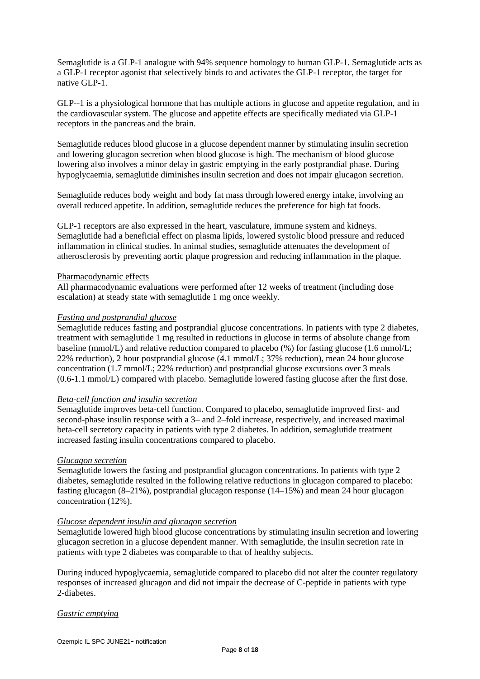Semaglutide is a GLP-1 analogue with 94% sequence homology to human GLP-1. Semaglutide acts as a GLP-1 receptor agonist that selectively binds to and activates the GLP-1 receptor, the target for native GLP-1.

GLP--1 is a physiological hormone that has multiple actions in glucose and appetite regulation, and in the cardiovascular system. The glucose and appetite effects are specifically mediated via GLP-1 receptors in the pancreas and the brain.

Semaglutide reduces blood glucose in a glucose dependent manner by stimulating insulin secretion and lowering glucagon secretion when blood glucose is high. The mechanism of blood glucose lowering also involves a minor delay in gastric emptying in the early postprandial phase. During hypoglycaemia, semaglutide diminishes insulin secretion and does not impair glucagon secretion.

Semaglutide reduces body weight and body fat mass through lowered energy intake, involving an overall reduced appetite. In addition, semaglutide reduces the preference for high fat foods.

GLP-1 receptors are also expressed in the heart, vasculature, immune system and kidneys. Semaglutide had a beneficial effect on plasma lipids, lowered systolic blood pressure and reduced inflammation in clinical studies. In animal studies, semaglutide attenuates the development of atherosclerosis by preventing aortic plaque progression and reducing inflammation in the plaque.

### Pharmacodynamic effects

All pharmacodynamic evaluations were performed after 12 weeks of treatment (including dose escalation) at steady state with semaglutide 1 mg once weekly.

### *Fasting and postprandial glucose*

Semaglutide reduces fasting and postprandial glucose concentrations. In patients with type 2 diabetes, treatment with semaglutide 1 mg resulted in reductions in glucose in terms of absolute change from baseline (mmol/L) and relative reduction compared to placebo (%) for fasting glucose (1.6 mmol/L; 22% reduction), 2 hour postprandial glucose (4.1 mmol/L; 37% reduction), mean 24 hour glucose concentration (1.7 mmol/L; 22% reduction) and postprandial glucose excursions over 3 meals (0.6-1.1 mmol/L) compared with placebo. Semaglutide lowered fasting glucose after the first dose.

#### *Beta-cell function and insulin secretion*

Semaglutide improves beta-cell function. Compared to placebo, semaglutide improved first- and second-phase insulin response with a 3– and 2–fold increase, respectively, and increased maximal beta-cell secretory capacity in patients with type 2 diabetes. In addition, semaglutide treatment increased fasting insulin concentrations compared to placebo.

#### *Glucagon secretion*

Semaglutide lowers the fasting and postprandial glucagon concentrations. In patients with type 2 diabetes, semaglutide resulted in the following relative reductions in glucagon compared to placebo: fasting glucagon (8–21%), postprandial glucagon response (14–15%) and mean 24 hour glucagon concentration (12%).

#### *Glucose dependent insulin and glucagon secretion*

Semaglutide lowered high blood glucose concentrations by stimulating insulin secretion and lowering glucagon secretion in a glucose dependent manner. With semaglutide, the insulin secretion rate in patients with type 2 diabetes was comparable to that of healthy subjects.

During induced hypoglycaemia, semaglutide compared to placebo did not alter the counter regulatory responses of increased glucagon and did not impair the decrease of C-peptide in patients with type 2-diabetes.

# *Gastric emptying*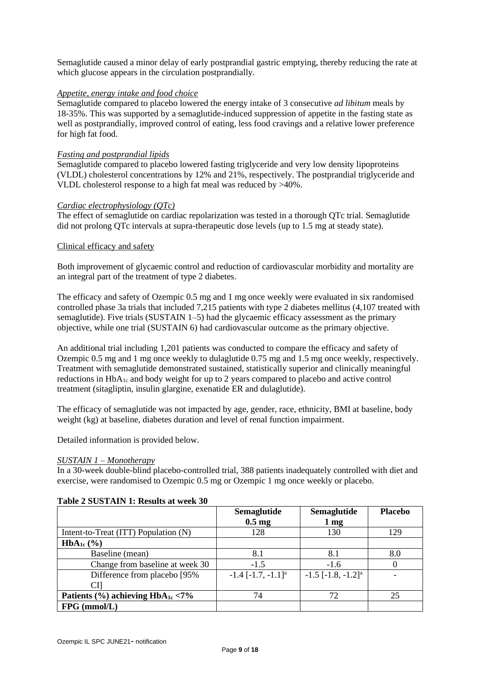Semaglutide caused a minor delay of early postprandial gastric emptying, thereby reducing the rate at which glucose appears in the circulation postprandially.

# *Appetite, energy intake and food choice*

Semaglutide compared to placebo lowered the energy intake of 3 consecutive *ad libitum* meals by 18-35%. This was supported by a semaglutide-induced suppression of appetite in the fasting state as well as postprandially, improved control of eating, less food cravings and a relative lower preference for high fat food.

# *Fasting and postprandial lipids*

Semaglutide compared to placebo lowered fasting triglyceride and very low density lipoproteins (VLDL) cholesterol concentrations by 12% and 21%, respectively. The postprandial triglyceride and VLDL cholesterol response to a high fat meal was reduced by >40%.

# *Cardiac electrophysiology (QTc)*

The effect of semaglutide on cardiac repolarization was tested in a thorough QTc trial. Semaglutide did not prolong QTc intervals at supra-therapeutic dose levels (up to 1.5 mg at steady state).

# Clinical efficacy and safety

Both improvement of glycaemic control and reduction of cardiovascular morbidity and mortality are an integral part of the treatment of type 2 diabetes.

The efficacy and safety of Ozempic 0.5 mg and 1 mg once weekly were evaluated in six randomised controlled phase 3a trials that included 7,215 patients with type 2 diabetes mellitus (4,107 treated with semaglutide). Five trials (SUSTAIN 1–5) had the glycaemic efficacy assessment as the primary objective, while one trial (SUSTAIN 6) had cardiovascular outcome as the primary objective.

An additional trial including 1,201 patients was conducted to compare the efficacy and safety of Ozempic 0.5 mg and 1 mg once weekly to dulaglutide 0.75 mg and 1.5 mg once weekly, respectively. Treatment with semaglutide demonstrated sustained, statistically superior and clinically meaningful reductions in HbA<sub>1c</sub> and body weight for up to 2 years compared to placebo and active control treatment (sitagliptin, insulin glargine, exenatide ER and dulaglutide).

The efficacy of semaglutide was not impacted by age, gender, race, ethnicity, BMI at baseline, body weight (kg) at baseline, diabetes duration and level of renal function impairment.

Detailed information is provided below.

# *SUSTAIN 1 – Monotherapy*

In a 30-week double-blind placebo-controlled trial, 388 patients inadequately controlled with diet and exercise, were randomised to Ozempic 0.5 mg or Ozempic 1 mg once weekly or placebo.

|                                                        | Semaglutide                        | <b>Semaglutide</b>                 | <b>Placebo</b> |
|--------------------------------------------------------|------------------------------------|------------------------------------|----------------|
|                                                        | $0.5 \text{ mg}$                   | $1 \text{ mg}$                     |                |
| Intent-to-Treat (ITT) Population (N)                   | 128                                | 130                                | 129            |
| $HbA_{1c}$ (%)                                         |                                    |                                    |                |
| Baseline (mean)                                        | 8.1                                | 8.1                                | 8.0            |
| Change from baseline at week 30                        | $-1.5$                             | $-1.6$                             |                |
| Difference from placebo [95%]                          | $-1.4$ $[-1.7, -1.1]$ <sup>a</sup> | $-1.5$ $[-1.8, -1.2]$ <sup>a</sup> |                |
| CП                                                     |                                    |                                    |                |
| Patients $\frac{6}{6}$ achieving HbA <sub>1c</sub> <7% | 74                                 | 72                                 | 25             |
| $FPG$ (mmol/L)                                         |                                    |                                    |                |

# **Table 2 SUSTAIN 1: Results at week 30**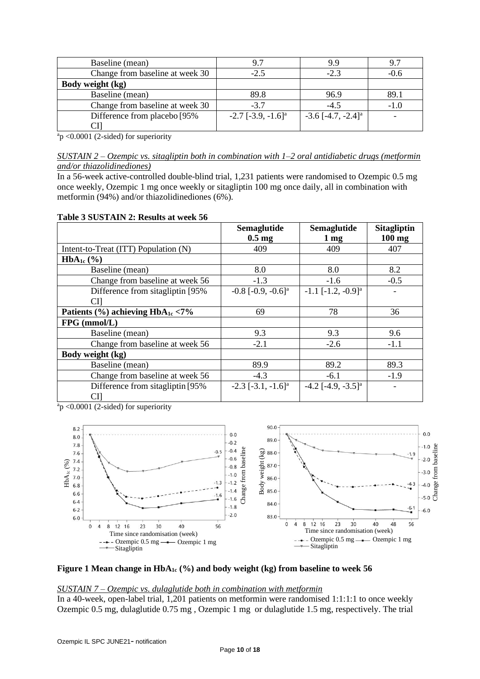| Baseline (mean)                 | 9.7                                  | 9.9                                |     |
|---------------------------------|--------------------------------------|------------------------------------|-----|
| Change from baseline at week 30 | $-2.5$                               | $-2.3$                             |     |
| Body weight (kg)                |                                      |                                    |     |
| Baseline (mean)                 | 89.8                                 | 96.9                               | 89. |
| Change from baseline at week 30 | $-3.7$                               | $-4.5$                             |     |
| Difference from placebo [95%]   | $-2.7$ [ $-3.9, -1.6$ ] <sup>a</sup> | $-3.6$ $[-4.7, -2.4]$ <sup>a</sup> |     |
|                                 |                                      |                                    |     |

 $a$ <sup>a</sup>p <0.0001 (2-sided) for superiority

In a 56-week active-controlled double-blind trial, 1,231 patients were randomised to Ozempic 0.5 mg once weekly, Ozempic 1 mg once weekly or sitagliptin 100 mg once daily, all in combination with metformin (94%) and/or thiazolidinediones (6%).

| Table 3 SUSTAIN 2: Results at week 56 |  |
|---------------------------------------|--|
|---------------------------------------|--|

|                                                        | Semaglutide                             | <b>Semaglutide</b>                   | <b>Sitagliptin</b> |
|--------------------------------------------------------|-----------------------------------------|--------------------------------------|--------------------|
|                                                        | $0.5 \text{ mg}$                        | $1 \,\mathrm{mg}$                    | $100$ mg           |
| Intent-to-Treat (ITT) Population (N)                   | 409                                     | 409                                  | 407                |
| $HbA_{1c}$ (%)                                         |                                         |                                      |                    |
| Baseline (mean)                                        | 8.0                                     | 8.0                                  | 8.2                |
| Change from baseline at week 56                        | $-1.3$                                  | $-1.6$                               | $-0.5$             |
| Difference from sitagliptin [95%]                      | $-0.8$ [ $-0.9$ , $-0.6$ ] <sup>a</sup> | $-1.1$ $[-1.2, -0.9]$ <sup>a</sup>   |                    |
| СI                                                     |                                         |                                      |                    |
| Patients $\frac{6}{6}$ achieving HbA <sub>1c</sub> <7% | 69                                      | 78                                   | 36                 |
| FPG (mmol/L)                                           |                                         |                                      |                    |
| Baseline (mean)                                        | 9.3                                     | 9.3                                  | 9.6                |
| Change from baseline at week 56                        | $-2.1$                                  | $-2.6$                               | $-1.1$             |
| Body weight (kg)                                       |                                         |                                      |                    |
| Baseline (mean)                                        | 89.9                                    | 89.2                                 | 89.3               |
| Change from baseline at week 56                        | $-4.3$                                  | $-6.1$                               | $-1.9$             |
| Difference from sitagliptin [95%]                      | $-2.3$ [ $-3.1, -1.6$ ] <sup>a</sup>    | $-4.2$ [ $-4.9, -3.5$ ] <sup>a</sup> |                    |
| CI]                                                    |                                         |                                      |                    |

 $a_p$  <0.0001 (2-sided) for superiority



### **Figure 1 Mean change in HbA1c (%) and body weight (kg) from baseline to week 56**

#### *SUSTAIN 7 – Ozempic vs. dulaglutide both in combination with metformin*

In a 40-week, open-label trial, 1,201 patients on metformin were randomised 1:1:1:1 to once weekly Ozempic 0.5 mg, dulaglutide 0.75 mg , Ozempic 1 mg or dulaglutide 1.5 mg, respectively. The trial

*SUSTAIN 2 – Ozempic vs. sitagliptin both in combination with 1–2 oral antidiabetic drugs (metformin and/or thiazolidinediones)*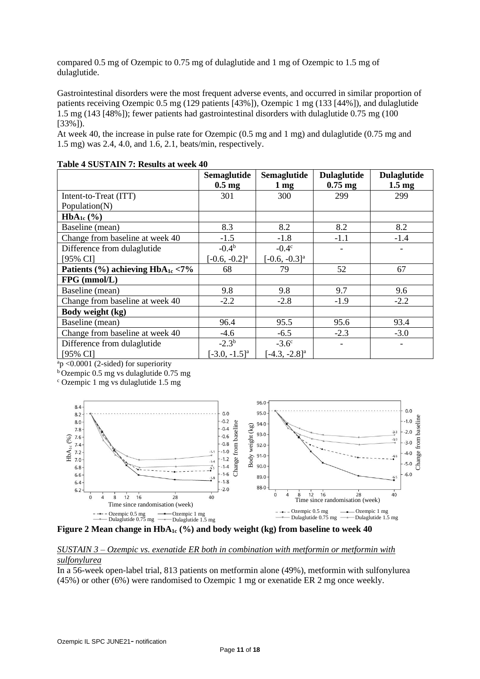compared 0.5 mg of Ozempic to 0.75 mg of dulaglutide and 1 mg of Ozempic to 1.5 mg of dulaglutide.

Gastrointestinal disorders were the most frequent adverse events, and occurred in similar proportion of patients receiving Ozempic 0.5 mg (129 patients [43%]), Ozempic 1 mg (133 [44%]), and dulaglutide 1.5 mg (143 [48%]); fewer patients had gastrointestinal disorders with dulaglutide 0.75 mg (100 [33%]).

At week 40, the increase in pulse rate for Ozempic (0.5 mg and 1 mg) and dulaglutide (0.75 mg and 1.5 mg) was 2.4, 4.0, and 1.6, 2.1, beats/min, respectively.

|                                                        | Semaglutide               | Semaglutide                 | <b>Dulaglutide</b> | <b>Dulaglutide</b> |
|--------------------------------------------------------|---------------------------|-----------------------------|--------------------|--------------------|
|                                                        | $0.5 \text{ mg}$          | 1 <sub>mg</sub>             | $0.75$ mg          | $1.5 \text{ mg}$   |
| Intent-to-Treat (ITT)                                  | 301                       | 300                         | 299                | 299                |
| Population(N)                                          |                           |                             |                    |                    |
| $HbA_{1c}$ (%)                                         |                           |                             |                    |                    |
| Baseline (mean)                                        | 8.3                       | 8.2                         | 8.2                | 8.2                |
| Change from baseline at week 40                        | $-1.5$                    | $-1.8$                      | $-1.1$             | $-1.4$             |
| Difference from dulaglutide                            | $-0.4b$                   | $-0.4c$                     |                    |                    |
| [95% CI]                                               | $[-0.6, -0.2]^a$          | $[-0.6, -0.3]$ <sup>a</sup> |                    |                    |
| Patients $\frac{6}{6}$ achieving HbA <sub>1c</sub> <7% | 68                        | 79                          | 52                 | 67                 |
| $FPG$ (mmol/L)                                         |                           |                             |                    |                    |
| Baseline (mean)                                        | 9.8                       | 9.8                         | 9.7                | 9.6                |
| Change from baseline at week 40                        | $-2.2$                    | $-2.8$                      | $-1.9$             | $-2.2$             |
| Body weight (kg)                                       |                           |                             |                    |                    |
| Baseline (mean)                                        | 96.4                      | 95.5                        | 95.6               | 93.4               |
| Change from baseline at week 40                        | $-4.6$                    | $-6.5$                      | $-2.3$             | $-3.0$             |
| Difference from dulaglutide                            | $-2.3^{b}$                | $-3.6^{\circ}$              |                    |                    |
| $[95\% \text{ CI}]$                                    | $[-3.0, -1.5]^{\text{a}}$ | $[-4.3, -2.8]$ <sup>a</sup> |                    |                    |

### **Table 4 SUSTAIN 7: Results at week 40**

 $a_p$  <0.0001 (2-sided) for superiority

 $b$  Ozempic 0.5 mg vs dulaglutide 0.75 mg

<sup>c</sup> Ozempic 1 mg vs dulaglutide 1.5 mg



**Figure 2 Mean change in HbA1c (%) and body weight (kg) from baseline to week 40**

# *SUSTAIN 3 – Ozempic vs. exenatide ER both in combination with metformin or metformin with sulfonylurea*

In a 56-week open-label trial, 813 patients on metformin alone (49%), metformin with sulfonylurea (45%) or other (6%) were randomised to Ozempic 1 mg or exenatide ER 2 mg once weekly.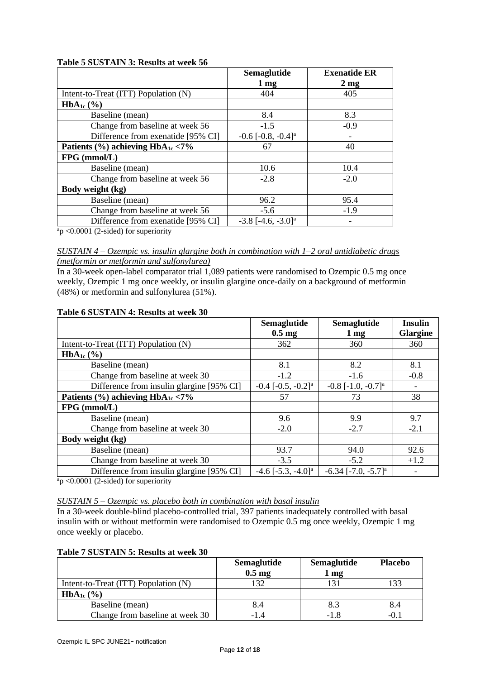| Table 5 SUSTAIN 3: Results at week 56 |  |
|---------------------------------------|--|
|---------------------------------------|--|

|                                                        | <b>Semaglutide</b>                      | <b>Exenatide ER</b> |
|--------------------------------------------------------|-----------------------------------------|---------------------|
|                                                        | 1 <sub>mg</sub>                         | $2 \text{ mg}$      |
| Intent-to-Treat (ITT) Population (N)                   | 404                                     | 405                 |
| $HbA_{1c}$ (%)                                         |                                         |                     |
| Baseline (mean)                                        | 8.4                                     | 8.3                 |
| Change from baseline at week 56                        | $-1.5$                                  | $-0.9$              |
| Difference from exenatide [95% CI]                     | $-0.6$ $[-0.8, -0.4]$ <sup>a</sup>      |                     |
| Patients $\frac{6}{6}$ achieving HbA <sub>1c</sub> <7% | 67                                      | 40                  |
| $FPG$ (mmol/L)                                         |                                         |                     |
| Baseline (mean)                                        | 10.6                                    | 10.4                |
| Change from baseline at week 56                        | $-2.8$                                  | $-2.0$              |
| Body weight (kg)                                       |                                         |                     |
| Baseline (mean)                                        | 96.2                                    | 95.4                |
| Change from baseline at week 56                        | $-5.6$                                  | $-1.9$              |
| Difference from exenatide [95% CI]                     | $-3.8$ [ $-4.6$ , $-3.0$ ] <sup>a</sup> |                     |

 $a$ <sup>a</sup>p <0.0001 (2-sided) for superiority

In a 30-week open-label comparator trial 1,089 patients were randomised to Ozempic 0.5 mg once weekly, Ozempic 1 mg once weekly, or insulin glargine once-daily on a background of metformin (48%) or metformin and sulfonylurea (51%).

|                                                        | <b>Semaglutide</b><br>$0.5 \text{ mg}$  | Semaglutide<br>$1 \,\mathrm{mg}$        | <b>Insulin</b><br>Glargine |
|--------------------------------------------------------|-----------------------------------------|-----------------------------------------|----------------------------|
| Intent-to-Treat (ITT) Population (N)                   | 362                                     | 360                                     | 360                        |
| $HbA_{1c}$ (%)                                         |                                         |                                         |                            |
| Baseline (mean)                                        | 8.1                                     | 8.2                                     | 8.1                        |
| Change from baseline at week 30                        | $-1.2$                                  | $-1.6$                                  | $-0.8$                     |
| Difference from insulin glargine [95% CI]              | $-0.4$ $[-0.5, -0.2]$ <sup>a</sup>      | $-0.8$ [ $-1.0$ , $-0.7$ ] <sup>a</sup> |                            |
| Patients $\frac{9}{6}$ achieving HbA <sub>1c</sub> <7% | 57                                      | 73                                      | 38                         |
| $FPG$ (mmol/L)                                         |                                         |                                         |                            |
| Baseline (mean)                                        | 9.6                                     | 9.9                                     | 9.7                        |
| Change from baseline at week 30                        | $-2.0$                                  | $-2.7$                                  | $-2.1$                     |
| Body weight (kg)                                       |                                         |                                         |                            |
| Baseline (mean)                                        | 93.7                                    | 94.0                                    | 92.6                       |
| Change from baseline at week 30                        | $-3.5$                                  | $-5.2$                                  | $+1.2$                     |
| Difference from insulin glargine [95% CI]              | $-4.6$ [ $-5.3$ , $-4.0$ ] <sup>a</sup> | $-6.34$ [ $-7.0, -5.7$ ] <sup>a</sup>   |                            |

# **Table 6 SUSTAIN 4: Results at week 30**

 $a_p < 0.0001$  (2-sided) for superiority

#### *SUSTAIN 5 – Ozempic vs. placebo both in combination with basal insulin*

In a 30-week double-blind placebo-controlled trial, 397 patients inadequately controlled with basal insulin with or without metformin were randomised to Ozempic 0.5 mg once weekly, Ozempic 1 mg once weekly or placebo.

# **Table 7 SUSTAIN 5: Results at week 30**

|                                      | <b>Semaglutide</b><br>$0.5$ mg | Semaglutide<br>1 <sub>mg</sub> | <b>Placebo</b> |
|--------------------------------------|--------------------------------|--------------------------------|----------------|
| Intent-to-Treat (ITT) Population (N) |                                |                                |                |
| $HbA_{1c}$ (%)                       |                                |                                |                |
| Baseline (mean)                      | 8.4                            | 8.3                            | 8.4            |
| Change from baseline at week 30      |                                | -1.8                           |                |

*SUSTAIN 4 – Ozempic vs. insulin glargine both in combination with 1–2 oral antidiabetic drugs (metformin or metformin and sulfonylurea)*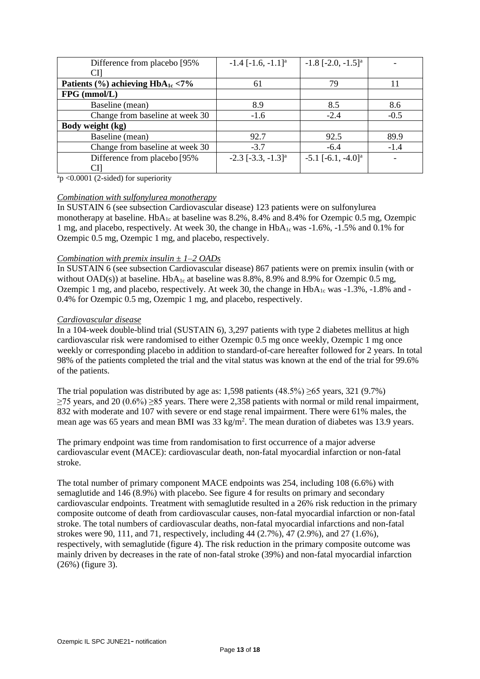| Difference from placebo [95%]                          | $-1.4$ $[-1.6, -1.1]$ <sup>a</sup> | $-1.8$ $[-2.0, -1.5]^a$            |        |
|--------------------------------------------------------|------------------------------------|------------------------------------|--------|
| СI                                                     |                                    |                                    |        |
| Patients $\frac{6}{6}$ achieving HbA <sub>1c</sub> <7% | 61                                 | 79                                 |        |
| $FPG$ (mmol/L)                                         |                                    |                                    |        |
| Baseline (mean)                                        | 8.9                                | 8.5                                | 8.6    |
| Change from baseline at week 30                        | $-1.6$                             | $-2.4$                             | $-0.5$ |
| Body weight (kg)                                       |                                    |                                    |        |
| Baseline (mean)                                        | 92.7                               | 92.5                               | 89.9   |
| Change from baseline at week 30                        | $-3.7$                             | $-6.4$                             | $-1.4$ |
| Difference from placebo [95%]                          | $-2.3$ $[-3.3, -1.3]$ <sup>a</sup> | $-5.1$ $[-6.1, -4.0]$ <sup>a</sup> |        |
| СIJ                                                    |                                    |                                    |        |

 $a_p$  <0.0001 (2-sided) for superiority

# *Combination with sulfonylurea monotherapy*

In SUSTAIN 6 (see subsection Cardiovascular disease) 123 patients were on sulfonylurea monotherapy at baseline.  $HbA_{1c}$  at baseline was 8.2%, 8.4% and 8.4% for Ozempic 0.5 mg, Ozempic 1 mg, and placebo, respectively. At week 30, the change in  $HbA_{1c}$  was  $-1.6\%$ ,  $-1.5\%$  and 0.1% for Ozempic 0.5 mg, Ozempic 1 mg, and placebo, respectively.

### *Combination with premix insulin ± 1–2 OADs*

In SUSTAIN 6 (see subsection Cardiovascular disease) 867 patients were on premix insulin (with or without OAD(s)) at baseline.  $HbA_{1c}$  at baseline was 8.8%, 8.9% and 8.9% for Ozempic 0.5 mg, Ozempic 1 mg, and placebo, respectively. At week 30, the change in  $HbA_{1c}$  was  $-1.3\%$ ,  $-1.8\%$  and  $-$ 0.4% for Ozempic 0.5 mg, Ozempic 1 mg, and placebo, respectively.

### *Cardiovascular disease*

In a 104-week double-blind trial (SUSTAIN 6), 3,297 patients with type 2 diabetes mellitus at high cardiovascular risk were randomised to either Ozempic 0.5 mg once weekly, Ozempic 1 mg once weekly or corresponding placebo in addition to standard-of-care hereafter followed for 2 years. In total 98% of the patients completed the trial and the vital status was known at the end of the trial for 99.6% of the patients.

The trial population was distributed by age as: 1,598 patients (48.5%) ≥65 years, 321 (9.7%)  $≥75$  years, and 20 (0.6%)  $≥85$  years. There were 2,358 patients with normal or mild renal impairment, 832 with moderate and 107 with severe or end stage renal impairment. There were 61% males, the mean age was 65 years and mean BMI was 33 kg/m<sup>2</sup>. The mean duration of diabetes was 13.9 years.

The primary endpoint was time from randomisation to first occurrence of a major adverse cardiovascular event (MACE): cardiovascular death, non-fatal myocardial infarction or non-fatal stroke.

The total number of primary component MACE endpoints was 254, including 108 (6.6%) with semaglutide and 146 (8.9%) with placebo. See figure 4 for results on primary and secondary cardiovascular endpoints. Treatment with semaglutide resulted in a 26% risk reduction in the primary composite outcome of death from cardiovascular causes, non-fatal myocardial infarction or non-fatal stroke. The total numbers of cardiovascular deaths, non-fatal myocardial infarctions and non-fatal strokes were 90, 111, and 71, respectively, including 44 (2.7%), 47 (2.9%), and 27 (1.6%), respectively, with semaglutide (figure 4). The risk reduction in the primary composite outcome was mainly driven by decreases in the rate of non-fatal stroke (39%) and non-fatal myocardial infarction (26%) (figure 3).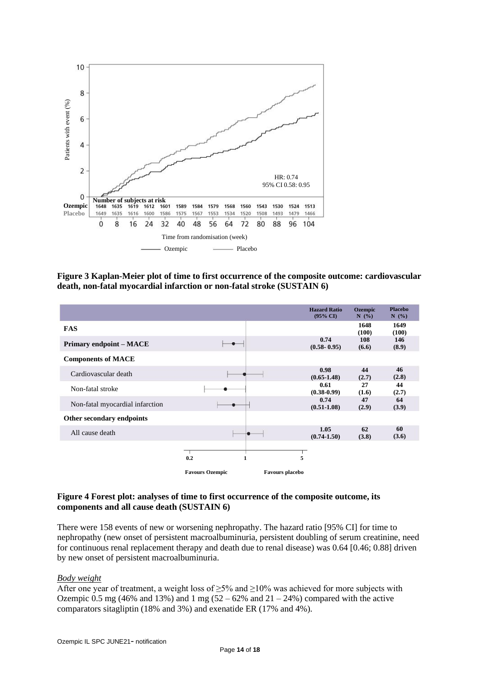

**Figure 3 Kaplan-Meier plot of time to first occurrence of the composite outcome: cardiovascular death, non-fatal myocardial infarction or non-fatal stroke (SUSTAIN 6)**

|                                 |                        |                        | <b>Hazard Ratio</b><br>$(95\% \text{ CI})$ | <b>Ozempic</b><br>N(%) | <b>Placebo</b><br>N(%) |
|---------------------------------|------------------------|------------------------|--------------------------------------------|------------------------|------------------------|
| <b>FAS</b>                      |                        |                        |                                            | 1648<br>(100)          | 1649<br>(100)          |
| <b>Primary endpoint - MACE</b>  |                        |                        | 0.74<br>$(0.58 - 0.95)$                    | 108<br>(6.6)           | 146<br>(8.9)           |
| <b>Components of MACE</b>       |                        |                        |                                            |                        |                        |
| Cardiovascular death            |                        |                        | 0.98<br>$(0.65 - 1.48)$                    | 44<br>(2.7)            | 46<br>(2.8)            |
| Non-fatal stroke                |                        |                        | 0.61<br>$(0.38 - 0.99)$                    | 27<br>(1.6)            | 44<br>(2.7)            |
| Non-fatal myocardial infarction |                        |                        | 0.74<br>$(0.51 - 1.08)$                    | 47<br>(2.9)            | 64<br>(3.9)            |
| Other secondary endpoints       |                        |                        |                                            |                        |                        |
| All cause death                 |                        |                        | 1.05<br>$(0.74 - 1.50)$                    | 62<br>(3.8)            | 60<br>(3.6)            |
|                                 | 0.2                    | 5                      |                                            |                        |                        |
|                                 | <b>Favours Ozempic</b> | <b>Favours placebo</b> |                                            |                        |                        |

### **Figure 4 Forest plot: analyses of time to first occurrence of the composite outcome, its components and all cause death (SUSTAIN 6)**

There were 158 events of new or worsening nephropathy. The hazard ratio [95% CI] for time to nephropathy (new onset of persistent macroalbuminuria, persistent doubling of serum creatinine, need for continuous renal replacement therapy and death due to renal disease) was 0.64 [0.46; 0.88] driven by new onset of persistent macroalbuminuria.

# *Body weight*

After one year of treatment, a weight loss of  $\geq 5\%$  and  $\geq 10\%$  was achieved for more subjects with Ozempic 0.5 mg (46% and 13%) and 1 mg ( $52 - 62$ % and  $21 - 24$ %) compared with the active comparators sitagliptin (18% and 3%) and exenatide ER (17% and 4%).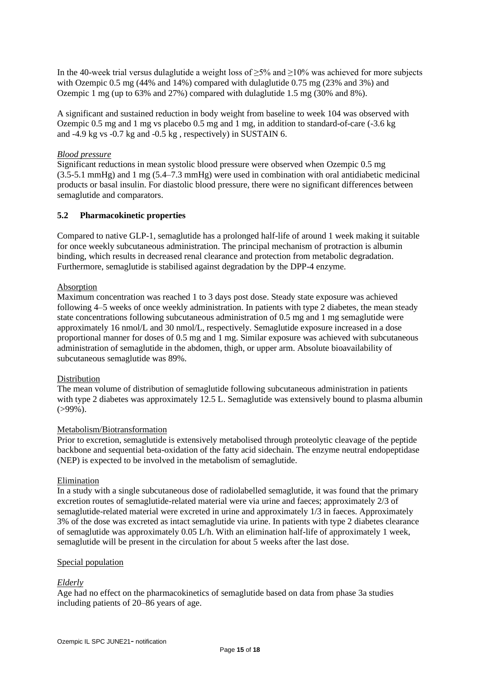In the 40-week trial versus dulaglutide a weight loss of  $\geq$ 5% and  $\geq$ 10% was achieved for more subjects with Ozempic 0.5 mg (44% and 14%) compared with dulaglutide 0.75 mg (23% and 3%) and Ozempic 1 mg (up to 63% and 27%) compared with dulaglutide 1.5 mg (30% and 8%).

A significant and sustained reduction in body weight from baseline to week 104 was observed with Ozempic 0.5 mg and 1 mg vs placebo 0.5 mg and 1 mg, in addition to standard-of-care (-3.6 kg and -4.9 kg vs -0.7 kg and -0.5 kg , respectively) in SUSTAIN 6.

# *Blood pressure*

Significant reductions in mean systolic blood pressure were observed when Ozempic 0.5 mg (3.5-5.1 mmHg) and 1 mg (5.4–7.3 mmHg) were used in combination with oral antidiabetic medicinal products or basal insulin. For diastolic blood pressure, there were no significant differences between semaglutide and comparators.

# **5.2 Pharmacokinetic properties**

Compared to native GLP-1, semaglutide has a prolonged half-life of around 1 week making it suitable for once weekly subcutaneous administration. The principal mechanism of protraction is albumin binding, which results in decreased renal clearance and protection from metabolic degradation. Furthermore, semaglutide is stabilised against degradation by the DPP-4 enzyme.

# Absorption

Maximum concentration was reached 1 to 3 days post dose. Steady state exposure was achieved following 4–5 weeks of once weekly administration. In patients with type 2 diabetes, the mean steady state concentrations following subcutaneous administration of 0.5 mg and 1 mg semaglutide were approximately 16 nmol/L and 30 nmol/L, respectively. Semaglutide exposure increased in a dose proportional manner for doses of 0.5 mg and 1 mg. Similar exposure was achieved with subcutaneous administration of semaglutide in the abdomen, thigh, or upper arm. Absolute bioavailability of subcutaneous semaglutide was 89%.

# Distribution

The mean volume of distribution of semaglutide following subcutaneous administration in patients with type 2 diabetes was approximately 12.5 L. Semaglutide was extensively bound to plasma albumin  $( > 99\%)$ .

# Metabolism/Biotransformation

Prior to excretion, semaglutide is extensively metabolised through proteolytic cleavage of the peptide backbone and sequential beta-oxidation of the fatty acid sidechain. The enzyme neutral endopeptidase (NEP) is expected to be involved in the metabolism of semaglutide.

# Elimination

In a study with a single subcutaneous dose of radiolabelled semaglutide, it was found that the primary excretion routes of semaglutide-related material were via urine and faeces; approximately 2/3 of semaglutide-related material were excreted in urine and approximately 1/3 in faeces. Approximately 3% of the dose was excreted as intact semaglutide via urine. In patients with type 2 diabetes clearance of semaglutide was approximately 0.05 L/h. With an elimination half-life of approximately 1 week, semaglutide will be present in the circulation for about 5 weeks after the last dose.

# Special population

# *Elderly*

Age had no effect on the pharmacokinetics of semaglutide based on data from phase 3a studies including patients of 20–86 years of age.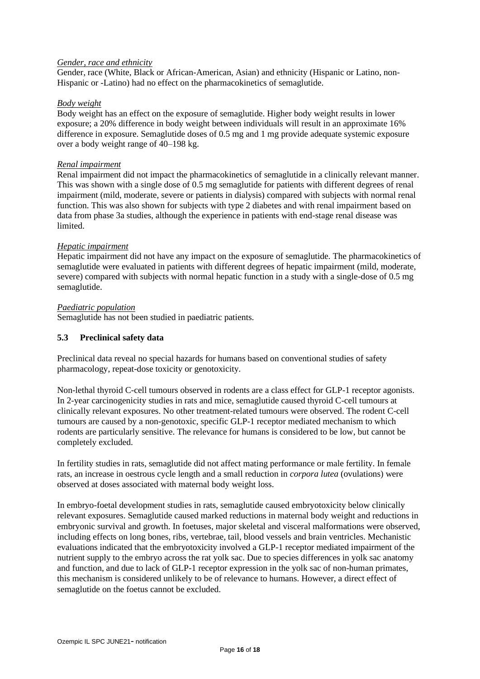### *Gender, race and ethnicity*

Gender, race (White, Black or African-American, Asian) and ethnicity (Hispanic or Latino, non-Hispanic or -Latino) had no effect on the pharmacokinetics of semaglutide.

#### *Body weight*

Body weight has an effect on the exposure of semaglutide. Higher body weight results in lower exposure; a 20% difference in body weight between individuals will result in an approximate 16% difference in exposure. Semaglutide doses of 0.5 mg and 1 mg provide adequate systemic exposure over a body weight range of 40–198 kg.

### *Renal impairment*

Renal impairment did not impact the pharmacokinetics of semaglutide in a clinically relevant manner. This was shown with a single dose of 0.5 mg semaglutide for patients with different degrees of renal impairment (mild, moderate, severe or patients in dialysis) compared with subjects with normal renal function. This was also shown for subjects with type 2 diabetes and with renal impairment based on data from phase 3a studies, although the experience in patients with end-stage renal disease was limited.

### *Hepatic impairment*

Hepatic impairment did not have any impact on the exposure of semaglutide. The pharmacokinetics of semaglutide were evaluated in patients with different degrees of hepatic impairment (mild, moderate, severe) compared with subjects with normal hepatic function in a study with a single-dose of 0.5 mg semaglutide.

### *Paediatric population*

Semaglutide has not been studied in paediatric patients.

### **5.3 Preclinical safety data**

Preclinical data reveal no special hazards for humans based on conventional studies of safety pharmacology, repeat-dose toxicity or genotoxicity.

Non-lethal thyroid C-cell tumours observed in rodents are a class effect for GLP-1 receptor agonists. In 2-year carcinogenicity studies in rats and mice, semaglutide caused thyroid C-cell tumours at clinically relevant exposures. No other treatment-related tumours were observed. The rodent C-cell tumours are caused by a non-genotoxic, specific GLP-1 receptor mediated mechanism to which rodents are particularly sensitive. The relevance for humans is considered to be low, but cannot be completely excluded.

In fertility studies in rats, semaglutide did not affect mating performance or male fertility. In female rats, an increase in oestrous cycle length and a small reduction in *corpora lutea* (ovulations) were observed at doses associated with maternal body weight loss.

In embryo-foetal development studies in rats, semaglutide caused embryotoxicity below clinically relevant exposures. Semaglutide caused marked reductions in maternal body weight and reductions in embryonic survival and growth. In foetuses, major skeletal and visceral malformations were observed, including effects on long bones, ribs, vertebrae, tail, blood vessels and brain ventricles. Mechanistic evaluations indicated that the embryotoxicity involved a GLP-1 receptor mediated impairment of the nutrient supply to the embryo across the rat yolk sac. Due to species differences in yolk sac anatomy and function, and due to lack of GLP-1 receptor expression in the yolk sac of non-human primates, this mechanism is considered unlikely to be of relevance to humans. However, a direct effect of semaglutide on the foetus cannot be excluded.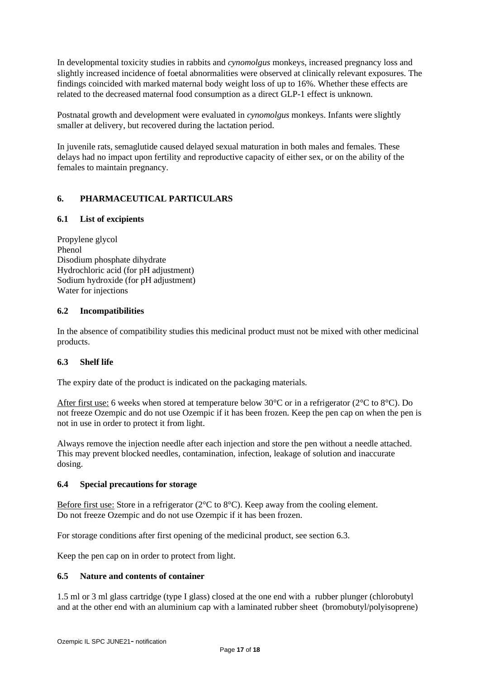In developmental toxicity studies in rabbits and *cynomolgus* monkeys, increased pregnancy loss and slightly increased incidence of foetal abnormalities were observed at clinically relevant exposures. The findings coincided with marked maternal body weight loss of up to 16%. Whether these effects are related to the decreased maternal food consumption as a direct GLP-1 effect is unknown.

Postnatal growth and development were evaluated in *cynomolgus* monkeys. Infants were slightly smaller at delivery, but recovered during the lactation period.

In juvenile rats, semaglutide caused delayed sexual maturation in both males and females. These delays had no impact upon fertility and reproductive capacity of either sex, or on the ability of the females to maintain pregnancy.

# **6. PHARMACEUTICAL PARTICULARS**

# **6.1 List of excipients**

Propylene glycol Phenol Disodium phosphate dihydrate Hydrochloric acid (for pH adjustment) Sodium hydroxide (for pH adjustment) Water for injections

# **6.2 Incompatibilities**

In the absence of compatibility studies this medicinal product must not be mixed with other medicinal products.

# **6.3 Shelf life**

The expiry date of the product is indicated on the packaging materials.

After first use: 6 weeks when stored at temperature below 30°C or in a refrigerator (2°C to 8°C). Do not freeze Ozempic and do not use Ozempic if it has been frozen. Keep the pen cap on when the pen is not in use in order to protect it from light.

Always remove the injection needle after each injection and store the pen without a needle attached. This may prevent blocked needles, contamination, infection, leakage of solution and inaccurate dosing.

# **6.4 Special precautions for storage**

Before first use: Store in a refrigerator (2°C to 8°C). Keep away from the cooling element. Do not freeze Ozempic and do not use Ozempic if it has been frozen.

For storage conditions after first opening of the medicinal product, see section 6.3.

Keep the pen cap on in order to protect from light.

# **6.5 Nature and contents of container**

1.5 ml or 3 ml glass cartridge (type I glass) closed at the one end with a rubber plunger (chlorobutyl and at the other end with an aluminium cap with a laminated rubber sheet (bromobutyl/polyisoprene)